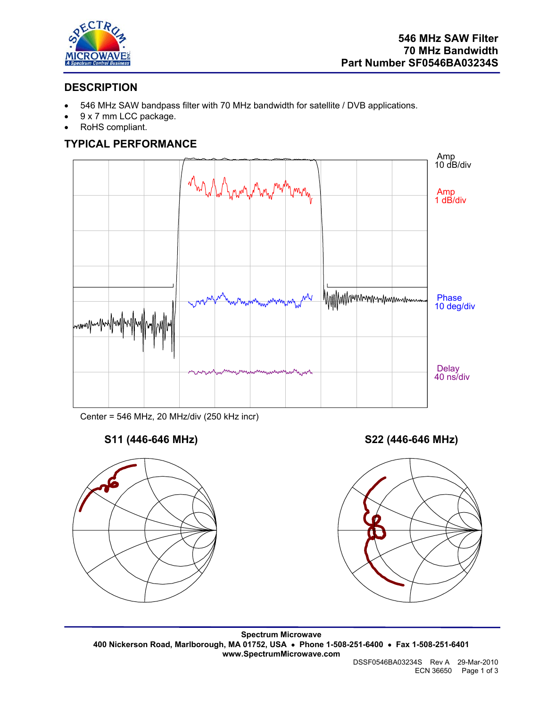

# **DESCRIPTION**

- 546 MHz SAW bandpass filter with 70 MHz bandwidth for satellite / DVB applications.
- 9 x 7 mm LCC package.
- RoHS compliant.

# **TYPICAL PERFORMANCE**



Center = 546 MHz, 20 MHz/div (250 kHz incr)



**S11 (446-646 MHz) S22 (446-646 MHz)** 



**Spectrum Microwave 400 Nickerson Road, Marlborough, MA 01752, USA** • **Phone 1-508-251-6400** • **Fax 1-508-251-6401 www.SpectrumMicrowave.com** 

 DSSF0546BA03234S Rev A 29-Mar-2010 ECN 36650 Page 1 of 3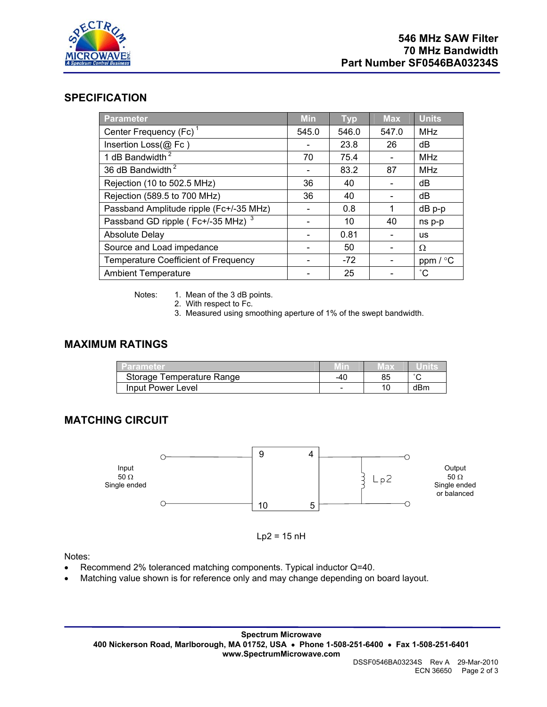

### **SPECIFICATION**

| Parameter                                     | <b>Min</b> | <b>Typ</b> | <b>Max</b> | <b>Units</b> |
|-----------------------------------------------|------------|------------|------------|--------------|
| Center Frequency (Fc) <sup>1</sup>            | 545.0      | 546.0      | 547.0      | <b>MHz</b>   |
| Insertion Loss(@ Fc)                          |            | 23.8       | 26         | dB           |
| 1 dB Bandwidth <sup>2</sup>                   | 70         | 75.4       |            | <b>MHz</b>   |
| 36 dB Bandwidth <sup>2</sup>                  |            | 83.2       | 87         | <b>MHz</b>   |
| Rejection (10 to 502.5 MHz)                   | 36         | 40         |            | dB           |
| Rejection (589.5 to 700 MHz)                  | 36         | 40         |            | dB           |
| Passband Amplitude ripple (Fc+/-35 MHz)       |            | 0.8        | 1          | $dB$ $p-p$   |
| Passband GD ripple (Fc+/-35 MHz) <sup>3</sup> |            | 10         | 40         | ns p-p       |
| <b>Absolute Delay</b>                         |            | 0.81       |            | <b>us</b>    |
| Source and Load impedance                     |            | 50         |            | Ω            |
| <b>Temperature Coefficient of Frequency</b>   |            | $-72$      |            | ppm $/$ °C   |
| <b>Ambient Temperature</b>                    |            | 25         |            | $^{\circ}$ C |

Notes: 1. Mean of the 3 dB points.

2. With respect to Fc.

3. Measured using smoothing aperture of 1% of the swept bandwidth.

#### **MAXIMUM RATINGS**

| Parameter                 |     | TED. |        |
|---------------------------|-----|------|--------|
| Storage Temperature Range | -40 | 85   | $\sim$ |
| Input Power Level         |     |      | dBm    |

# **MATCHING CIRCUIT**



 $Lp2 = 15$  nH

Notes:

- Recommend 2% toleranced matching components. Typical inductor Q=40.
- Matching value shown is for reference only and may change depending on board layout.